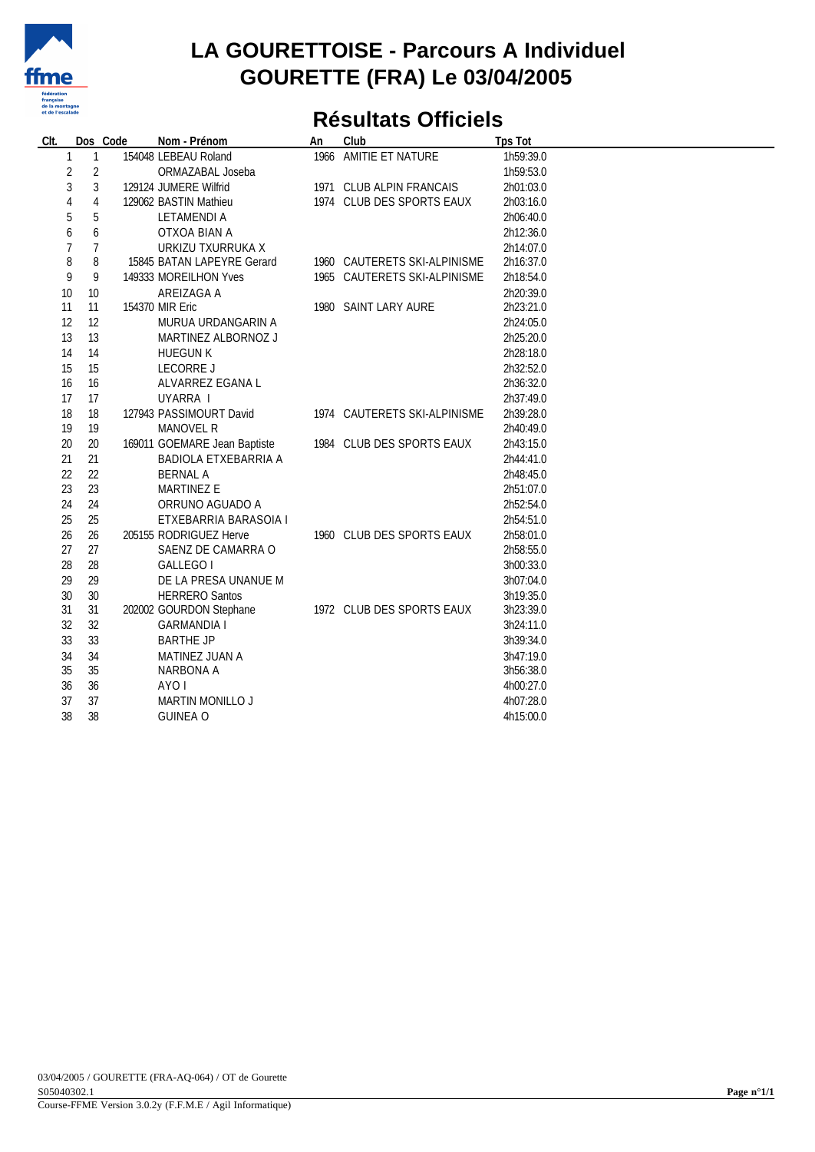

#### **LA GOURETTOISE - Parcours A Individuel GOURETTE (FRA) Le 03/04/2005**

## **Résultats Officiels**

| CIt. |                 | Dos Code<br>Nom - Prénom     | An | Club                         | <b>Tps Tot</b> |
|------|-----------------|------------------------------|----|------------------------------|----------------|
| 1    | 1               | 154048 LEBEAU Roland         |    | 1966 AMITIE ET NATURE        | 1h59:39.0      |
|      | $\sqrt{2}$<br>2 | ORMAZABAL Joseba             |    |                              | 1h59:53.0      |
| 3    | 3               | 129124 JUMERE Wilfrid        |    | 1971 CLUB ALPIN FRANCAIS     | 2h01:03.0      |
| 4    | $\overline{4}$  | 129062 BASTIN Mathieu        |    | 1974 CLUB DES SPORTS EAUX    | 2h03:16.0      |
| 5    | 5               | LETAMENDI A                  |    |                              | 2h06:40.0      |
| 6    | 6               | OTXOA BIAN A                 |    |                              | 2h12:36.0      |
|      | 7               | URKIZU TXURRUKA X            |    |                              | 2h14:07.0      |
| 8    | 8               | 15845 BATAN LAPEYRE Gerard   |    | 1960 CAUTERETS SKI-ALPINISME | 2h16:37.0      |
| 9    | 9               | 149333 MOREILHON Yves        |    | 1965 CAUTERETS SKI-ALPINISME | 2h18:54.0      |
| 10   | 10              | AREIZAGA A                   |    |                              | 2h20:39.0      |
| 11   | 11              | 154370 MIR Eric              |    | 1980 SAINT LARY AURE         | 2h23:21.0      |
| 12   | 12              | MURUA URDANGARIN A           |    |                              | 2h24:05.0      |
| 13   | 13              | MARTINEZ ALBORNOZ J          |    |                              | 2h25:20.0      |
| 14   | 14              | <b>HUEGUN K</b>              |    |                              | 2h28:18.0      |
| 15   | 15              | LECORRE J                    |    |                              | 2h32:52.0      |
| 16   | 16              | ALVARREZ EGANA L             |    |                              | 2h36:32.0      |
| 17   | 17              | UYARRA I                     |    |                              | 2h37:49.0      |
| 18   | 18              | 127943 PASSIMOURT David      |    | 1974 CAUTERETS SKI-ALPINISME | 2h39:28.0      |
| 19   | 19              | MANOVEL R                    |    |                              | 2h40:49.0      |
| 20   | 20              | 169011 GOEMARE Jean Baptiste |    | 1984 CLUB DES SPORTS EAUX    | 2h43:15.0      |
| 21   | 21              | BADIOLA ETXEBARRIA A         |    |                              | 2h44:41.0      |
| 22   | 22              | <b>BERNAL A</b>              |    |                              | 2h48:45.0      |
| 23   | 23              | MARTINEZ E                   |    |                              | 2h51:07.0      |
| 24   | 24              | ORRUNO AGUADO A              |    |                              | 2h52:54.0      |
| 25   | 25              | ETXEBARRIA BARASOIA I        |    |                              | 2h54:51.0      |
| 26   | 26              | 205155 RODRIGUEZ Herve       |    | 1960 CLUB DES SPORTS EAUX    | 2h58:01.0      |
| 27   | 27              | SAENZ DE CAMARRA O           |    |                              | 2h58:55.0      |
| 28   | 28              | GALLEGO I                    |    |                              | 3h00:33.0      |
| 29   | 29              | DE LA PRESA UNANUE M         |    |                              | 3h07:04.0      |
| 30   | 30              | <b>HERRERO Santos</b>        |    |                              | 3h19:35.0      |
| 31   | 31              | 202002 GOURDON Stephane      |    | 1972 CLUB DES SPORTS EAUX    | 3h23:39.0      |
| 32   | 32              | <b>GARMANDIA I</b>           |    |                              | 3h24:11.0      |
| 33   | 33              | <b>BARTHE JP</b>             |    |                              | 3h39:34.0      |
| 34   | 34              | MATINEZ JUAN A               |    |                              | 3h47:19.0      |
| 35   | 35              | NARBONA A                    |    |                              | 3h56:38.0      |
| 36   | 36              | AYO I                        |    |                              | 4h00:27.0      |
| 37   | 37              | MARTIN MONILLO J             |    |                              | 4h07:28.0      |
| 38   | 38              | <b>GUINEA O</b>              |    |                              | 4h15:00.0      |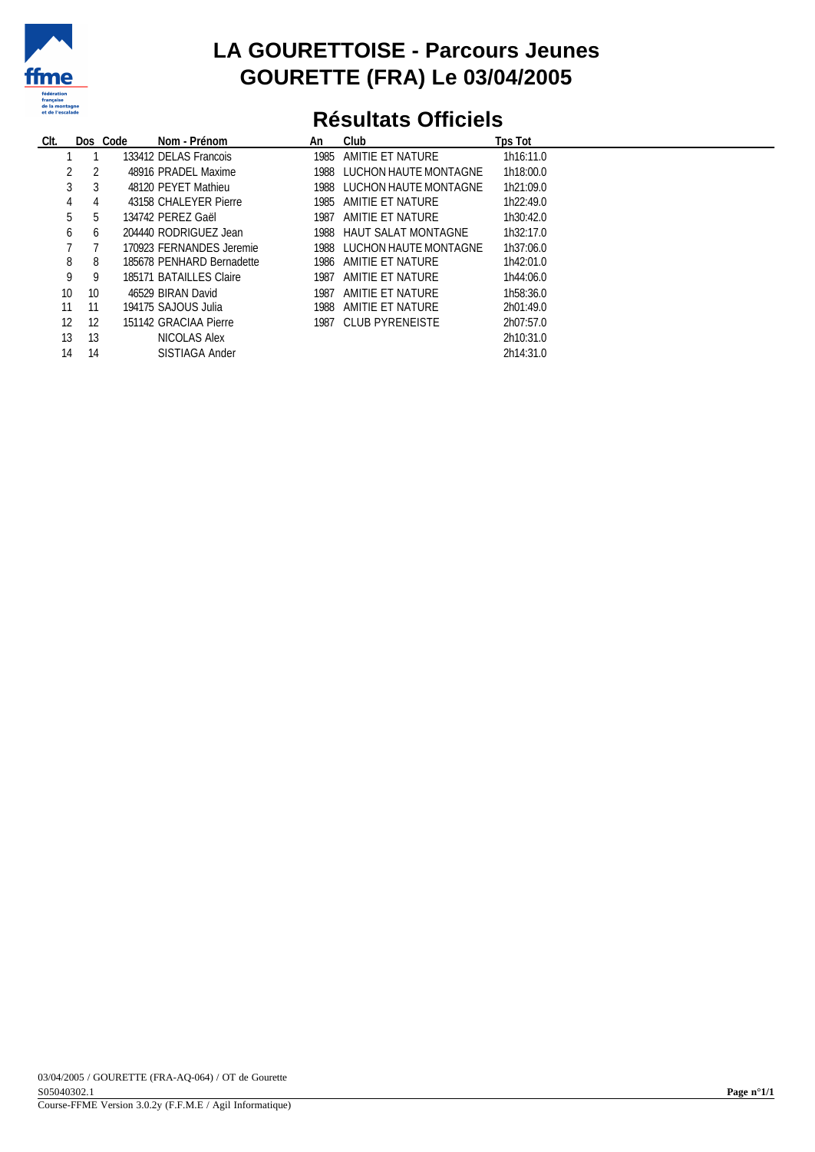

#### **LA GOURETTOISE - Parcours Jeunes GOURETTE (FRA) Le 03/04/2005**

## **Résultats Officiels**

| CIt. |         | Dos Code<br>Nom - Prénom  | An   | Club                       | Tps Tot   |
|------|---------|---------------------------|------|----------------------------|-----------|
|      |         | 133412 DELAS Francois     |      | 1985 AMITIE ET NATURE      | 1h16:11.0 |
|      | -2      | 48916 PRADEL Maxime       |      | 1988 LUCHON HAUTE MONTAGNE | 1h18:00.0 |
|      | 3<br>3  | 48120 PEYET Mathieu       |      | 1988 LUCHON HAUTE MONTAGNE | 1h21:09.0 |
|      | 4<br>4  | 43158 CHALEYER Pierre     |      | 1985 AMITIE ET NATURE      | 1h22:49.0 |
|      | 5.<br>5 | 134742 PEREZ Gaël         |      | 1987 AMITIE ET NATURE      | 1h30:42.0 |
|      | 6<br>6  | 204440 RODRIGUEZ Jean     |      | 1988 HAUT SALAT MONTAGNE   | 1h32:17.0 |
|      |         | 170923 FERNANDES Jeremie  |      | 1988 LUCHON HAUTE MONTAGNE | 1h37:06.0 |
| 8    | 8       | 185678 PENHARD Bernadette |      | 1986 AMITIE ET NATURE      | 1h42:01.0 |
| 9    | 9       | 185171 BATAILLES Claire   | 1987 | AMITIE ET NATURE           | 1h44:06.0 |
| 10   | 10      | 46529 BIRAN David         | 1987 | AMITIE ET NATURE           | 1h58:36.0 |
| 11   | 11      | 194175 SAJOUS Julia       |      | 1988 AMITIE ET NATURE      | 2h01:49.0 |
| 12   | 12      | 151142 GRACIAA Pierre     |      | 1987 CLUB PYRENEISTE       | 2h07:57.0 |
| 13   | 13      | NICOLAS Alex              |      |                            | 2h10:31.0 |
| 14   | 14      | <b>SISTIAGA Ander</b>     |      |                            | 2h14:31.0 |